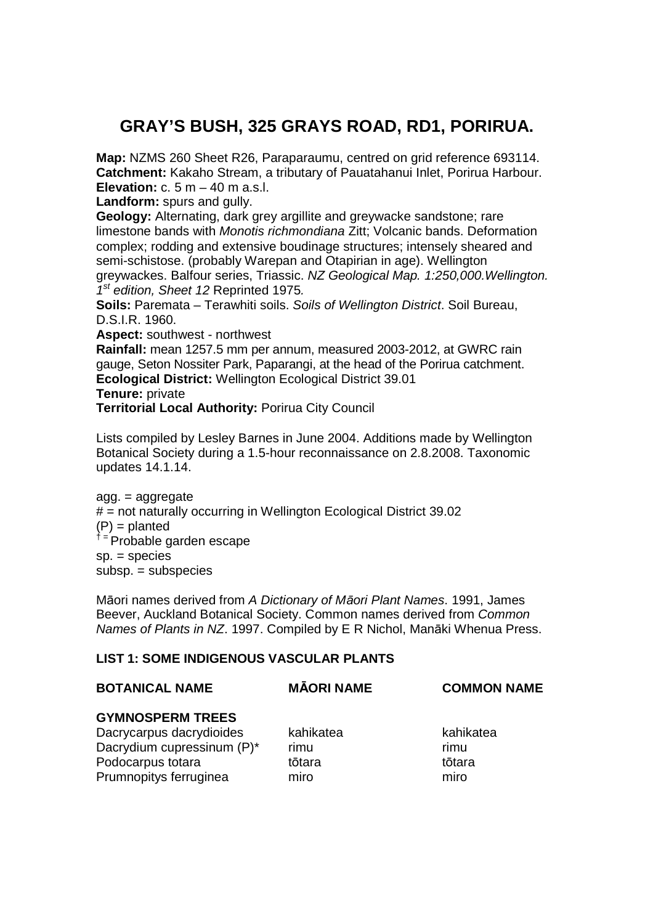# **GRAY'S BUSH, 325 GRAYS ROAD, RD1, PORIRUA.**

**Map:** NZMS 260 Sheet R26, Paraparaumu, centred on grid reference 693114. **Catchment:** Kakaho Stream, a tributary of Pauatahanui Inlet, Porirua Harbour. **Elevation:** c. 5 m – 40 m a.s.l.

**Landform:** spurs and gully.

**Geology:** Alternating, dark grey argillite and greywacke sandstone; rare limestone bands with Monotis richmondiana Zitt; Volcanic bands. Deformation complex; rodding and extensive boudinage structures; intensely sheared and semi-schistose. (probably Warepan and Otapirian in age). Wellington greywackes. Balfour series, Triassic. NZ Geological Map. 1:250,000.Wellington.  $1<sup>st</sup>$  edition, Sheet 12 Reprinted 1975.

**Soils:** Paremata – Terawhiti soils. Soils of Wellington District. Soil Bureau, D.S.I.R. 1960.

**Aspect:** southwest - northwest

**Rainfall:** mean 1257.5 mm per annum, measured 2003-2012, at GWRC rain gauge, Seton Nossiter Park, Paparangi, at the head of the Porirua catchment. **Ecological District:** Wellington Ecological District 39.01

**Tenure:** private

**Territorial Local Authority:** Porirua City Council

Lists compiled by Lesley Barnes in June 2004. Additions made by Wellington Botanical Society during a 1.5-hour reconnaissance on 2.8.2008. Taxonomic updates 14.1.14.

agg. = aggregate  $#$  = not naturally occurring in Wellington Ecological District 39.02  $(P) =$  planted <sup>† =</sup> Probable garden escape sp. = species subsp. = subspecies

Māori names derived from A Dictionary of M*ā*ori Plant Names. 1991, James Beever, Auckland Botanical Society. Common names derived from Common Names of Plants in NZ. 1997. Compiled by E R Nichol, Manāki Whenua Press.

# **LIST 1: SOME INDIGENOUS VASCULAR PLANTS**

## **BOTANICAL NAME MĀORI NAME COMMON NAME**

## **GYMNOSPERM TREES**

Dacrycarpus dacrydioides kahikatea kahikatea kahikatea Dacrydium cupressinum (P)<sup>\*</sup> rimu Podocarpus totara tōtara tōtara tōtara tōtara Prumnopitys ferruginea miro miro miro miro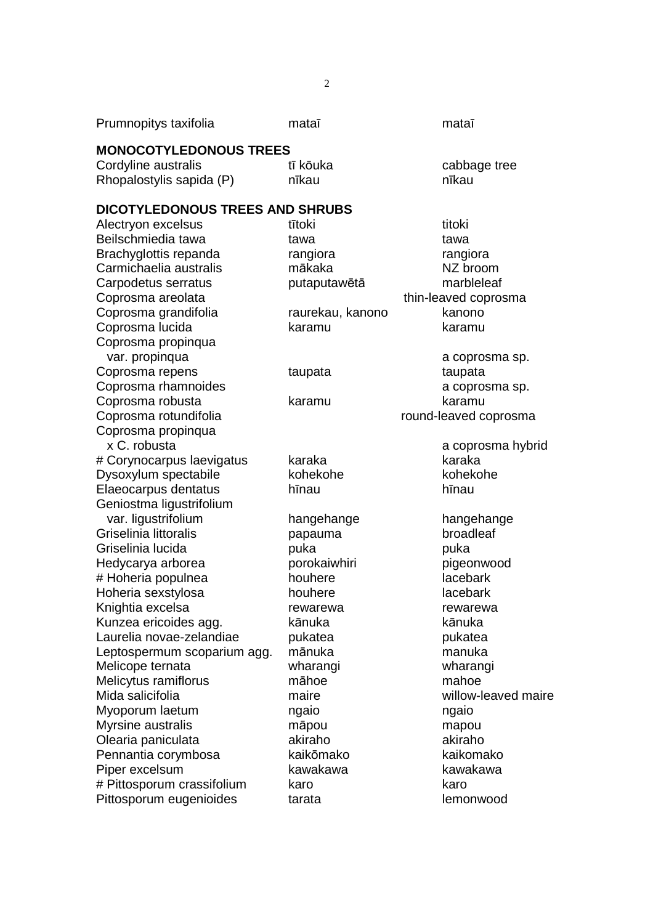| Prumnopitys taxifolia              | mataī            | mataī                       |
|------------------------------------|------------------|-----------------------------|
| <b>MONOCOTYLEDONOUS TREES</b>      |                  |                             |
| Cordyline australis                | tī kōuka         | cabbage tree                |
| Rhopalostylis sapida (P)           | nīkau            | nīkau                       |
| DICOTYLEDONOUS TREES AND SHRUBS    |                  |                             |
| Alectryon excelsus                 | tītoki           | titoki                      |
| Beilschmiedia tawa                 | tawa             | tawa                        |
| Brachyglottis repanda              | rangiora         | rangiora                    |
| Carmichaelia australis             | mākaka           | NZ broom                    |
| Carpodetus serratus                | putaputawētā     | marbleleaf                  |
| Coprosma areolata                  |                  | thin-leaved coprosma        |
| Coprosma grandifolia               | raurekau, kanono | kanono                      |
| Coprosma lucida                    | karamu           | karamu                      |
| Coprosma propinqua                 |                  |                             |
| var. propinqua                     |                  | a coprosma sp.              |
| Coprosma repens                    | taupata          | taupata                     |
| Coprosma rhamnoides                |                  | a coprosma sp.              |
| Coprosma robusta                   | karamu           | karamu                      |
| Coprosma rotundifolia              |                  | round-leaved coprosma       |
| Coprosma propinqua<br>x C. robusta |                  |                             |
| # Corynocarpus laevigatus          | karaka           | a coprosma hybrid<br>karaka |
| Dysoxylum spectabile               | kohekohe         | kohekohe                    |
| Elaeocarpus dentatus               | hīnau            | hīnau                       |
| Geniostma ligustrifolium           |                  |                             |
| var. ligustrifolium                | hangehange       | hangehange                  |
| Griselinia littoralis              | papauma          | broadleaf                   |
| Griselinia lucida                  | puka             | puka                        |
| Hedycarya arborea                  | porokaiwhiri     | pigeonwood                  |
| # Hoheria populnea                 | houhere          | lacebark                    |
| Hoheria sexstylosa                 | houhere          | lacebark                    |
| Knightia excelsa                   | rewarewa         | rewarewa                    |
| Kunzea ericoides agg.              | kānuka           | kānuka                      |
| Laurelia novae-zelandiae           | pukatea          | pukatea                     |
| Leptospermum scoparium agg.        | mānuka           | manuka                      |
| Melicope ternata                   | wharangi         | wharangi                    |
| Melicytus ramiflorus               | māhoe            | mahoe                       |
| Mida salicifolia                   | maire            | willow-leaved maire         |
| Myoporum laetum                    | ngaio            | ngaio                       |
| Myrsine australis                  | māpou            | mapou                       |
| Olearia paniculata                 | akiraho          | akiraho                     |
| Pennantia corymbosa                | kaikōmako        | kaikomako                   |
| Piper excelsum                     | kawakawa         | kawakawa                    |
| # Pittosporum crassifolium         | karo             | karo                        |
| Pittosporum eugenioides            | tarata           | lemonwood                   |
|                                    |                  |                             |

2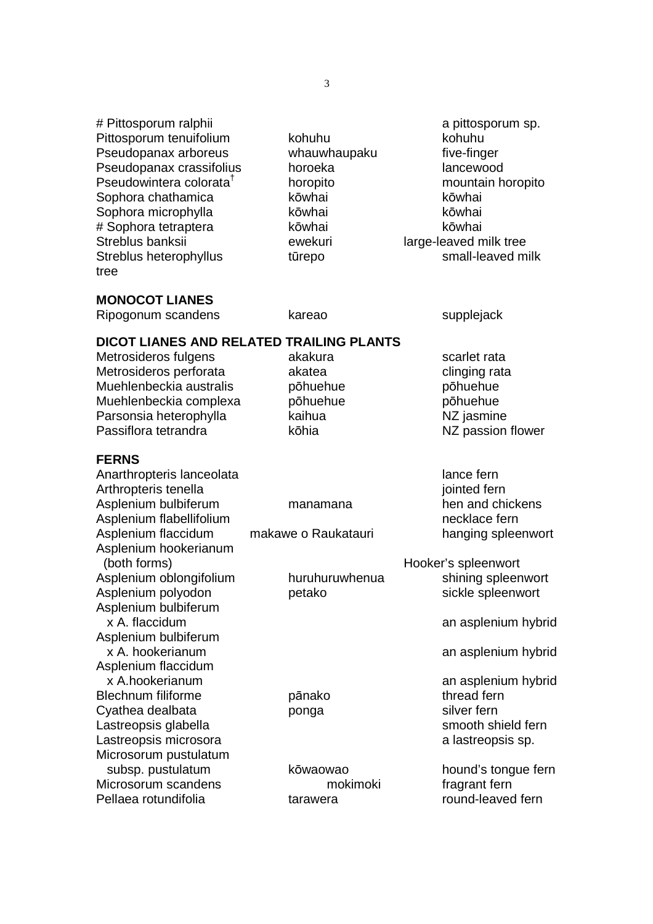# Pittosporum ralphii a pittosporum sp. Pittosporum tenuifolium kohuhu kohuhu kohuhu Pseudopanax arboreus whauwhaupaku five-finger Pseudopanax crassifolius horoeka lancewood Pseudowintera colorata† horopito mountain horopito Sophora chathamica **kōwhai** kōwhai kōwhai Sophora microphylla kōwhai kōwhai kōwhai # Sophora tetraptera kōwhai kōwhai Streblus banksii ewekuri large-leaved milk tree Streblus heterophyllus tūrepo small-leaved milk tree **MONOCOT LIANES** Ripogonum scandens kareao supplejack **DICOT LIANES AND RELATED TRAILING PLANTS**  Metrosideros fulgens akakura metalang scarlet rata Metrosideros perforata akatea entre clinging rata Muehlenbeckia australis pōhuehue pōhuehue Muehlenbeckia complexa pōhuehue pōhuehue Parsonsia heterophylla kaihua kaihua NZ jasmine Passiflora tetrandra **Kōhia** kōhia NZ passion flower **FERNS**  Anarthropteris lanceolata lance fernis and lance fernis and lance fermitive and lance fermitive and lance ferm Arthropteris tenella in the state of the state of the state in the state of the state of the state of the state of the state of the state of the state of the state of the state of the state of the state of the state of the Asplenium bulbiferum manamana hen and chickens Asplenium flabellifolium necklace fern Asplenium flaccidum makawe o Raukatauri hanging spleenwort Asplenium hookerianum (both forms) and the settlement of the Hooker's spleenwort Asplenium oblongifolium huruhuruwhenua shining spleenwort Asplenium polyodon betako sickle spleenwort Asplenium bulbiferum x A. flaccidum and asplenium hybrid Asplenium bulbiferum x A. hookerianum and an asplenium hybrid Asplenium flaccidum x A.hookerianum and an asplenium hybrid Blechnum filiforme **pānako thread fern** Cyathea dealbata **bonga** bonga silver fern Lastreopsis glabella smooth shield fern Lastreopsis microsora a lastreopsis sp. Microsorum pustulatum subsp. pustulatum bowaowao hound's tongue fern Microsorum scandens mokimoki fragrant fern Pellaea rotundifolia tarawera tarawera round-leaved fern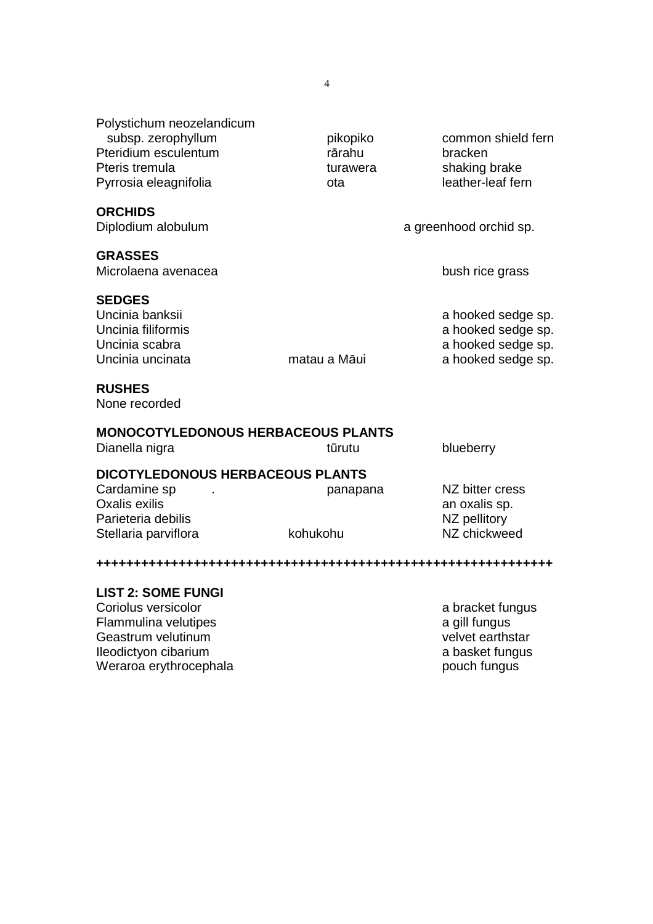Polystichum neozelandicum subsp. zerophyllum pikopiko common shield fern Pteridium esculentum **rārahu bracken** Pteris tremula turawera shaking brake Pyrrosia eleagnifolia bota dia leather-leaf fern

#### **ORCHIDS**

Diplodium alobulum and a greenhood orchid sp.

#### **GRASSES**

Microlaena avenacea bush rice grass

#### **SEDGES**

### **RUSHES**

None recorded

### **MONOCOTYLEDONOUS HERBACEOUS PLANTS**

Dianella nigra tūrutu blueberry

### **DICOTYLEDONOUS HERBACEOUS PLANTS**

| Cardamine sp         | panapana | NZ bitter cress |
|----------------------|----------|-----------------|
| Oxalis exilis        |          | an oxalis sp.   |
| Parieteria debilis   |          | NZ pellitory    |
| Stellaria parviflora | kohukohu | NZ chickweed    |
|                      |          |                 |

#### **+++++++++++++++++++++++++++++++++++++++++++++++++++++++++++++**

#### **LIST 2: SOME FUNGI**

Coriolus versicolor a bracket fungus coriolus versicolor Flammulina velutipes a gill fungus a gill fungus Geastrum velutinum version of the state of the state of the velvet earthstar Ileodictyon cibarium a basket fungus a basket fungus Weraroa erythrocephala pouch fungus pouch fungus

Uncinia banksii a hooked sedge sp. Uncinia filiformis<br>
Uncinia scabra<br>
Uncinia scabra<br>
A hooked sedge sp.<br>
a hooked sedge sp. a hooked sedge sp. Uncinia uncinata matau a Māui a hooked sedge sp.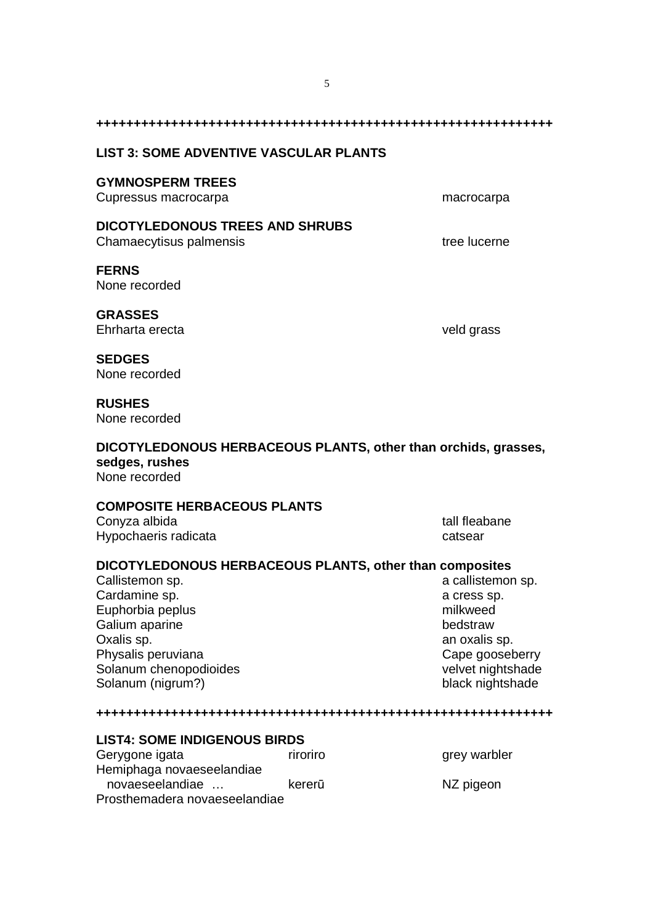| <b>LIST 3: SOME ADVENTIVE VASCULAR PLANTS</b>                                                                                                                                                                        |          |                                                                                                                                       |
|----------------------------------------------------------------------------------------------------------------------------------------------------------------------------------------------------------------------|----------|---------------------------------------------------------------------------------------------------------------------------------------|
| <b>GYMNOSPERM TREES</b><br>Cupressus macrocarpa                                                                                                                                                                      |          | macrocarpa                                                                                                                            |
| <b>DICOTYLEDONOUS TREES AND SHRUBS</b><br>Chamaecytisus palmensis                                                                                                                                                    |          | tree lucerne                                                                                                                          |
| <b>FERNS</b><br>None recorded                                                                                                                                                                                        |          |                                                                                                                                       |
| <b>GRASSES</b><br>Ehrharta erecta                                                                                                                                                                                    |          | veld grass                                                                                                                            |
| <b>SEDGES</b><br>None recorded                                                                                                                                                                                       |          |                                                                                                                                       |
| <b>RUSHES</b><br>None recorded                                                                                                                                                                                       |          |                                                                                                                                       |
| DICOTYLEDONOUS HERBACEOUS PLANTS, other than orchids, grasses,<br>sedges, rushes<br>None recorded                                                                                                                    |          |                                                                                                                                       |
| <b>COMPOSITE HERBACEOUS PLANTS</b>                                                                                                                                                                                   |          |                                                                                                                                       |
| Conyza albida<br>Hypochaeris radicata                                                                                                                                                                                |          | tall fleabane<br>catsear                                                                                                              |
| DICOTYLEDONOUS HERBACEOUS PLANTS, other than composites<br>Callistemon sp.<br>Cardamine sp.<br>Euphorbia peplus<br>Galium aparine<br>Oxalis sp.<br>Physalis peruviana<br>Solanum chenopodioides<br>Solanum (nigrum?) |          | a callistemon sp.<br>a cress sp.<br>milkweed<br>bedstraw<br>an oxalis sp.<br>Cape gooseberry<br>velvet nightshade<br>black nightshade |
|                                                                                                                                                                                                                      |          |                                                                                                                                       |
| <b>LIST4: SOME INDIGENOUS BIRDS</b><br>Gerygone igata<br>Hemiphaga novaeseelandiae<br>novaeseelandiae<br>Prosthemadera novaeseelandiae                                                                               | riroriro | grey warbler                                                                                                                          |
|                                                                                                                                                                                                                      | kererū   | NZ pigeon                                                                                                                             |

5